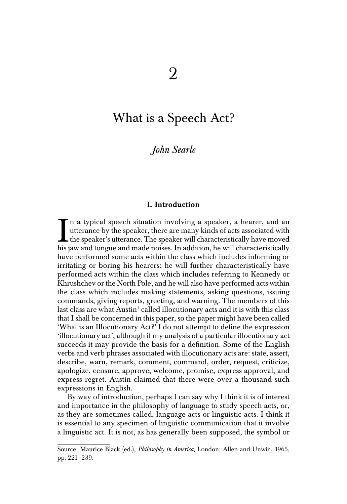# What is a Speech Act?

*John Searle*

## **I. Introduction**

In a typical speech situation involving a speaker, a hearer, and an utterance by the speaker, there are many kinds of acts associated with the speaker's utterance. The speaker will characteristically have moved his jaw and n a typical speech situation involving a speaker, a hearer, and an utterance by the speaker, there are many kinds of acts associated with  $\mathsf L$  the speaker's utterance. The speaker will characteristically have moved have performed some acts within the class which includes informing or irritating or boring his hearers; he will further characteristically have performed acts within the class which includes referring to Kennedy or Khrushchev or the North Pole; and he will also have performed acts within the class which includes making statements, asking questions, issuing commands, giving reports, greeting, and warning. The members of this last class are what  $\rm{Austin^1\,}$ called illocutionary acts and it is with this class that I shall be concerned in this paper, so the paper might have been called 'What is an Illocutionary Act?' I do not attempt to define the expression 'illocutionary act', although if my analysis of a particular illocutionary act succeeds it may provide the basis for a definition. Some of the English verbs and verb phrases associated with illocutionary acts are: state, assert, describe, warn, remark, comment, command, order, request, criticize, apologize, censure, approve, welcome, promise, express approval, and express regret. Austin claimed that there were over a thousand such expressions in English.

By way of introduction, perhaps I can say why I think it is of interest and importance in the philosophy of language to study speech acts, or, as they are sometimes called, language acts or linguistic acts. I think it is essential to any specimen of linguistic communication that it involve a linguistic act. It is not, as has generally been supposed, the symbol or

Source: Maurice Black (ed.), *Philosophy in America*, London: Allen and Unwin, 1965, pp. 221—239.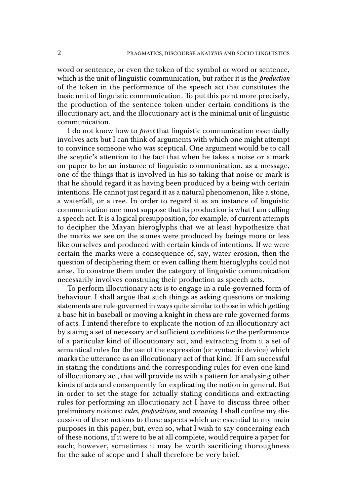word or sentence, or even the token of the symbol or word or sentence, which is the unit of linguistic communication, but rather it is the *production* of the token in the performance of the speech act that constitutes the basic unit of linguistic communication. To put this point more precisely, the production of the sentence token under certain conditions is the illocutionary act, and the illocutionary act is the minimal unit of linguistic communication.

I do not know how to *prove* that linguistic communication essentially involves acts but I can think of arguments with which one might attempt to convince someone who was sceptical. One argument would be to call the sceptic's attention to the fact that when he takes a noise or a mark on paper to be an instance of linguistic communication, as a message, one of the things that is involved in his so taking that noise or mark is that he should regard it as having been produced by a being with certain intentions. He cannot just regard it as a natural phenomenon, like a stone, a waterfall, or a tree. In order to regard it as an instance of linguistic communication one must suppose that its production is what I am calling a speech act. It is a logical presupposition, for example, of current attempts to decipher the Mayan hieroglyphs that we at least hypothesize that the marks we see on the stones were produced by beings more or less like ourselves and produced with certain kinds of intentions. If we were certain the marks were a consequence of, say, water erosion, then the question of deciphering them or even calling them hieroglyphs could not arise. To construe them under the category of linguistic communication necessarily involves construing their production as speech acts.

To perform illocutionary acts is to engage in a rule-governed form of behaviour. I shall argue that such things as asking questions or making statements are rule-governed in ways quite similar to those in which getting a base hit in baseball or moving a knight in chess are rule-governed forms of acts. I intend therefore to explicate the notion of an illocutionary act by stating a set of necessary and sufficient conditions for the performance of a particular kind of illocutionary act, and extracting from it a set of semantical rules for the use of the expression (or syntactic device) which marks the utterance as an illocutionary act of that kind. If I am successful in stating the conditions and the corresponding rules for even one kind of illocutionary act, that will provide us with a pattern for analysing other kinds of acts and consequently for explicating the notion in general. But in order to set the stage for actually stating conditions and extracting rules for performing an illocutionary act I have to discuss three other preliminary notions: *rules, propositions*, and *meaning*. I shall confine my discussion of these notions to those aspects which are essential to my main purposes in this paper, but, even so, what I wish to say concerning each of these notions, if it were to be at all complete, would require a paper for each; however, sometimes it may be worth sacrificing thoroughness for the sake of scope and I shall therefore be very brief.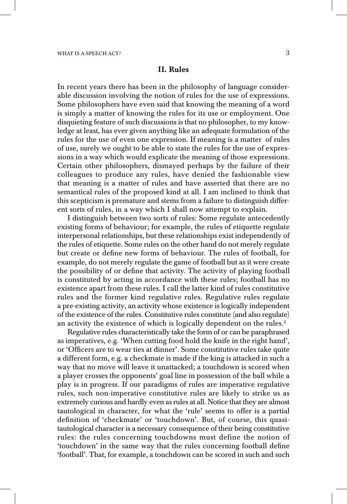#### **II. Rules**

In recent years there has been in the philosophy of language considerable discussion involving the notion of rules for the use of expressions. Some philosophers have even said that knowing the meaning of a word is simply a matter of knowing the rules for its use or employment. One disquieting feature of such discussions is that no philosopher, to my knowledge at least, has ever given anything like an adequate formulation of the rules for the use of even one expression. If meaning is a matter of rules of use, surely we ought to be able to state the rules for the use of expressions in a way which would explicate the meaning of those expressions. Certain other philosophers, dismayed perhaps by the failure of their colleagues to produce any rules, have denied the fashionable view that meaning is a matter of rules and have asserted that there are no semantical rules of the proposed kind at all. I am inclined to think that this scepticism is premature and stems from a failure to distinguish different sorts of rules, in a way which I shall now attempt to explain.

I distinguish between two sorts of rules: Some regulate antecedently existing forms of behaviour; for example, the rules of etiquette regulate interpersonal relationships, but these relationships exist independently of the rules of etiquette. Some rules on the other hand do not merely regulate but create or define new forms of behaviour. The rules of football, for example, do not merely regulate the game of football but as it were create the possibility of or define that activity. The activity of playing football is constituted by acting in accordance with these rules; football has no existence apart from these rules. I call the latter kind of rules constitutive rules and the former kind regulative rules. Regulative rules regulate a pre-existing activity, an activity whose existence is logically independent of the existence of the rules. Constitutive rules constitute (and also regulate) an activity the existence of which is logically dependent on the rules.<sup>2</sup>

Regulative rules characteristically take the form of or can be paraphrased as imperatives, e.g. 'When cutting food hold the knife in the right hand', or 'Officers are to wear ties at dinner'. Some constitutive rules take quite a different form, e.g. a checkmate is made if the king is attacked in such a way that no move will leave it unattacked; a touchdown is scored when a player crosses the opponents' goal line in possession of the ball while a play is in progress. If our paradigms of rules are imperative regulative rules, such non-imperative constitutive rules are likely to strike us as extremely curious and hardly even as rules at all. Notice that they are almost tautological in character, for what the 'rule' seems to offer is a partial definition of 'checkmate' or 'touchdown'. But, of course, this quasitautological character is a necessary consequence of their being constitutive rules: the rules concerning touchdowns must define the notion of 'touchdown' in the same way that the rules concerning football define 'football'. That, for example, a touchdown can be scored in such and such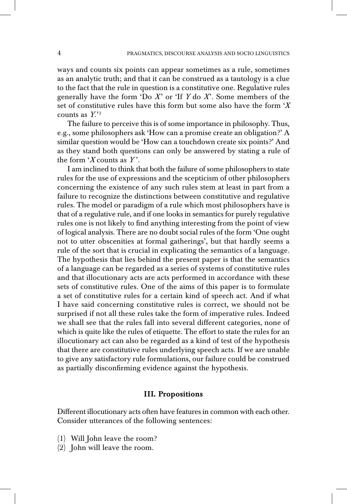ways and counts six points can appear sometimes as a rule, sometimes as an analytic truth; and that it can be construed as a tautology is a clue to the fact that the rule in question is a constitutive one. Regulative rules generally have the form 'Do *X*' or 'If *Y* do *X*'. Some members of the set of constitutive rules have this form but some also have the form '*X* counts as *Y*.'3

The failure to perceive this is of some importance in philosophy. Thus, e.g., some philosophers ask 'How can a promise create an obligation?' A similar question would be 'How can a touchdown create six points?' And as they stand both questions can only be answered by stating a rule of the form '*X* counts as *Y* '.

I am inclined to think that both the failure of some philosophers to state rules for the use of expressions and the scepticism of other philosophers concerning the existence of any such rules stem at least in part from a failure to recognize the distinctions between constitutive and regulative rules. The model or paradigm of a rule which most philosophers have is that of a regulative rule, and if one looks in semantics for purely regulative rules one is not likely to find anything interesting from the point of view of logical analysis. There are no doubt social rules of the form 'One ought not to utter obscenities at formal gatherings', but that hardly seems a rule of the sort that is crucial in explicating the semantics of a language. The hypothesis that lies behind the present paper is that the semantics of a language can be regarded as a series of systems of constitutive rules and that illocutionary acts are acts performed in accordance with these sets of constitutive rules. One of the aims of this paper is to formulate a set of constitutive rules for a certain kind of speech act. And if what I have said concerning constitutive rules is correct, we should not be surprised if not all these rules take the form of imperative rules. Indeed we shall see that the rules fall into several different categories, none of which is quite like the rules of etiquette. The effort to state the rules for an illocutionary act can also be regarded as a kind of test of the hypothesis that there are constitutive rules underlying speech acts. If we are unable to give any satisfactory rule formulations, our failure could be construed as partially disconfirming evidence against the hypothesis.

# **III. Propositions**

Different illocutionary acts often have features in common with each other. Consider utterances of the following sentences:

- (1) Will John leave the room?
- (2) John will leave the room.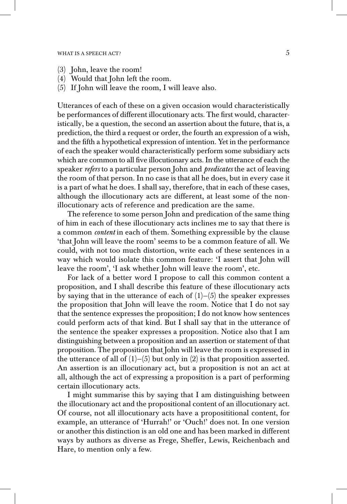- (3) John, leave the room!
- (4) Would that John left the room.
- (5) If John will leave the room, I will leave also.

Utterances of each of these on a given occasion would characteristically be performances of different illocutionary acts. The first would, characteristically, be a question, the second an assertion about the future, that is, a prediction, the third a request or order, the fourth an expression of a wish, and the fifth a hypothetical expression of intention. Yet in the performance of each the speaker would characteristically perform some subsidiary acts which are common to all five illocutionary acts. In the utterance of each the speaker *refers* to a particular person John and *predicates* the act of leaving the room of that person. In no case is that all he does, but in every case it is a part of what he does. I shall say, therefore, that in each of these cases, although the illocutionary acts are different, at least some of the nonillocutionary acts of reference and predication are the same.

The reference to some person John and predication of the same thing of him in each of these illocutionary acts inclines me to say that there is a common *content* in each of them. Something expressible by the clause 'that John will leave the room' seems to be a common feature of all. We could, with not too much distortion, write each of these sentences in a way which would isolate this common feature: 'I assert that John will leave the room', 'I ask whether John will leave the room', etc.

For lack of a better word I propose to call this common content a proposition, and I shall describe this feature of these illocutionary acts by saying that in the utterance of each of  $(1)$ – $(5)$  the speaker expresses the proposition that John will leave the room. Notice that I do not say that the sentence expresses the proposition; I do not know how sentences could perform acts of that kind. But I shall say that in the utterance of the sentence the speaker expresses a proposition. Notice also that I am distinguishing between a proposition and an assertion or statement of that proposition. The proposition that John will leave the room is expressed in the utterance of all of  $(1)$ – $(5)$  but only in  $(2)$  is that proposition asserted. An assertion is an illocutionary act, but a proposition is not an act at all, although the act of expressing a proposition is a part of performing certain illocutionary acts.

I might summarise this by saying that I am distinguishing between the illocutionary act and the propositional content of an illocutionary act. Of course, not all illocutionary acts have a proposititional content, for example, an utterance of 'Hurrah!' or 'Ouch!' does not. In one version or another this distinction is an old one and has been marked in different ways by authors as diverse as Frege, Sheffer, Lewis, Reichenbach and Hare, to mention only a few.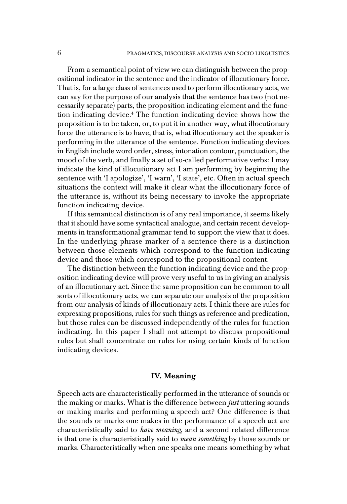From a semantical point of view we can distinguish between the propositional indicator in the sentence and the indicator of illocutionary force. That is, for a large class of sentences used to perform illocutionary acts, we can say for the purpose of our analysis that the sentence has two (not necessarily separate) parts, the proposition indicating element and the function indicating device.4 The function indicating device shows how the proposition is to be taken, or, to put it in another way, what illocutionary force the utterance is to have, that is, what illocutionary act the speaker is performing in the utterance of the sentence. Function indicating devices in English include word order, stress, intonation contour, punctuation, the mood of the verb, and finally a set of so-called performative verbs: I may indicate the kind of illocutionary act I am performing by beginning the sentence with 'I apologize', 'I warn', 'I state', etc. Often in actual speech situations the context will make it clear what the illocutionary force of the utterance is, without its being necessary to invoke the appropriate function indicating device.

If this semantical distinction is of any real importance, it seems likely that it should have some syntactical analogue, and certain recent developments in transformational grammar tend to support the view that it does. In the underlying phrase marker of a sentence there is a distinction between those elements which correspond to the function indicating device and those which correspond to the propositional content.

The distinction between the function indicating device and the proposition indicating device will prove very useful to us in giving an analysis of an illocutionary act. Since the same proposition can be common to all sorts of illocutionary acts, we can separate our analysis of the proposition from our analysis of kinds of illocutionary acts. I think there are rules for expressing propositions, rules for such things as reference and predication, but those rules can be discussed independently of the rules for function indicating. In this paper I shall not attempt to discuss propositional rules but shall concentrate on rules for using certain kinds of function indicating devices.

## **IV. Meaning**

Speech acts are characteristically performed in the utterance of sounds or the making or marks. What is the difference between *just* uttering sounds or making marks and performing a speech act? One difference is that the sounds or marks one makes in the performance of a speech act are characteristically said to *have meaning*, and a second related difference is that one is characteristically said to *mean something* by those sounds or marks. Characteristically when one speaks one means something by what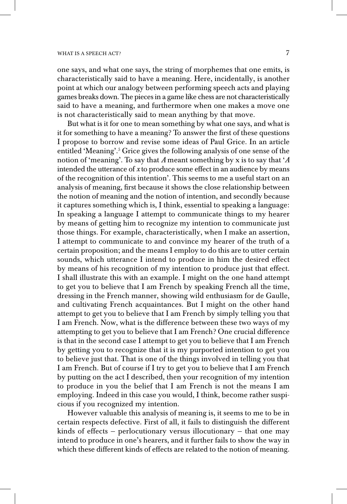one says, and what one says, the string of morphemes that one emits, is characteristically said to have a meaning. Here, incidentally, is another point at which our analogy between performing speech acts and playing games breaks down. The pieces in a game like chess are not characteristically said to have a meaning, and furthermore when one makes a move one is not characteristically said to mean anything by that move.

But what is it for one to mean something by what one says, and what is it for something to have a meaning? To answer the first of these questions I propose to borrow and revise some ideas of Paul Grice. In an article entitled 'Meaning'.<sup>5</sup> Grice gives the following analysis of one sense of the notion of 'meaning'. To say that *A* meant something by x is to say that '*A* intended the utterance of *x* to produce some effect in an audience by means of the recognition of this intention'. This seems to me a useful start on an analysis of meaning, first because it shows the close relationship between the notion of meaning and the notion of intention, and secondly because it captures something which is, I think, essential to speaking a language: In speaking a language I attempt to communicate things to my hearer by means of getting him to recognize my intention to communicate just those things. For example, characteristically, when I make an assertion, I attempt to communicate to and convince my hearer of the truth of a certain proposition; and the means I employ to do this are to utter certain sounds, which utterance I intend to produce in him the desired effect by means of his recognition of my intention to produce just that effect. I shall illustrate this with an example. I might on the one hand attempt to get you to believe that I am French by speaking French all the time, dressing in the French manner, showing wild enthusiasm for de Gaulle, and cultivating French acquaintances. But I might on the other hand attempt to get you to believe that I am French by simply telling you that I am French. Now, what is the difference between these two ways of my attempting to get you to believe that I am French? One crucial difference is that in the second case I attempt to get you to believe that I am French by getting you to recognize that it is my purported intention to get you to believe just that. That is one of the things involved in telling you that I am French. But of course if I try to get you to believe that I am French by putting on the act I described, then your recognition of my intention to produce in you the belief that I am French is not the means I am employing. Indeed in this case you would, I think, become rather suspicious if you recognized my intention.

However valuable this analysis of meaning is, it seems to me to be in certain respects defective. First of all, it fails to distinguish the different kinds of effects  $-$  perlocutionary versus illocutionary  $-$  that one may intend to produce in one's hearers, and it further fails to show the way in which these different kinds of effects are related to the notion of meaning.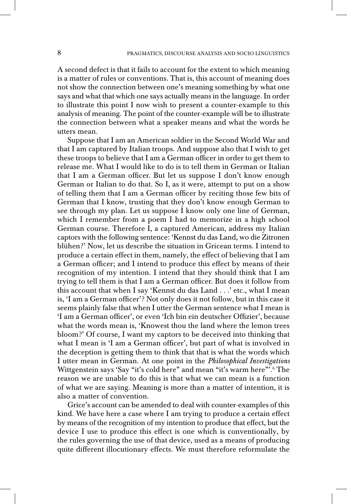A second defect is that it fails to account for the extent to which meaning is a matter of rules or conventions. That is, this account of meaning does not show the connection between one's meaning something by what one says and what that which one says actually means in the language. In order to illustrate this point I now wish to present a counter-example to this analysis of meaning. The point of the counter-example will be to illustrate the connection between what a speaker means and what the words he utters mean.

Suppose that I am an American soldier in the Second World War and that I am captured by Italian troops. And suppose also that I wish to get these troops to believe that I am a German officer in order to get them to release me. What I would like to do is to tell them in German or Italian that I am a German officer. But let us suppose I don't know enough German or Italian to do that. So I, as it were, attempt to put on a show of telling them that I am a German officer by reciting those few bits of German that I know, trusting that they don't know enough German to see through my plan. Let us suppose I know only one line of German, which I remember from a poem I had to memorize in a high school German course. Therefore I, a captured American, address my Italian captors with the following sentence: 'Kennst du das Land, wo die Zitronen blühen?' Now, let us describe the situation in Gricean terms. I intend to produce a certain effect in them, namely, the effect of believing that I am a German officer; and I intend to produce this effect by means of their recognition of my intention. I intend that they should think that I am trying to tell them is that I am a German officer. But does it follow from this account that when I say 'Kennst du das Land . . .' etc., what I mean is, 'I am a German officer'? Not only does it not follow, but in this case it seems plainly false that when I utter the German sentence what I mean is 'I am a German officer', or even 'Ich bin ein deutscher Offizier', because what the words mean is, 'Knowest thou the land where the lemon trees bloom?' Of course, I want my captors to be deceived into thinking that what I mean is 'I am a German officer', but part of what is involved in the deception is getting them to think that that is what the words which I utter mean in German. At one point in the *Philosophical Investigations* Wittgenstein says 'Say "it's cold here" and mean "it's warm here"'.6 The reason we are unable to do this is that what we can mean is a function of what we are saying. Meaning is more than a matter of intention, it is also a matter of convention.

Grice's account can be amended to deal with counter-examples of this kind. We have here a case where I am trying to produce a certain effect by means of the recognition of my intention to produce that effect, but the device I use to produce this effect is one which is conventionally, by the rules governing the use of that device, used as a means of producing quite different illocutionary effects. We must therefore reformulate the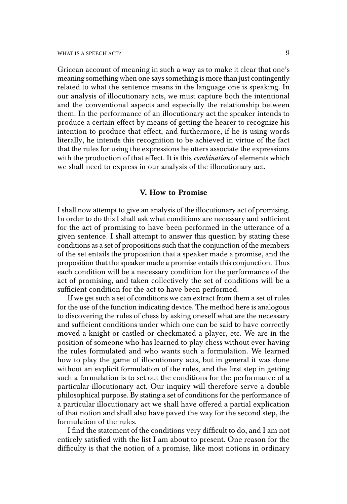Gricean account of meaning in such a way as to make it clear that one's meaning something when one says something is more than just contingently related to what the sentence means in the language one is speaking. In our analysis of illocutionary acts, we must capture both the intentional and the conventional aspects and especially the relationship between them. In the performance of an illocutionary act the speaker intends to produce a certain effect by means of getting the hearer to recognize his intention to produce that effect, and furthermore, if he is using words literally, he intends this recognition to be achieved in virtue of the fact that the rules for using the expressions he utters associate the expressions with the production of that effect. It is this *combination* of elements which we shall need to express in our analysis of the illocutionary act.

# **V. How to Promise**

I shall now attempt to give an analysis of the illocutionary act of promising. In order to do this I shall ask what conditions are necessary and sufficient for the act of promising to have been performed in the utterance of a given sentence. I shall attempt to answer this question by stating these conditions as a set of propositions such that the conjunction of the members of the set entails the proposition that a speaker made a promise, and the proposition that the speaker made a promise entails this conjunction. Thus each condition will be a necessary condition for the performance of the act of promising, and taken collectively the set of conditions will be a sufficient condition for the act to have been performed.

If we get such a set of conditions we can extract from them a set of rules for the use of the function indicating device. The method here is analogous to discovering the rules of chess by asking oneself what are the necessary and sufficient conditions under which one can be said to have correctly moved a knight or castled or checkmated a player, etc. We are in the position of someone who has learned to play chess without ever having the rules formulated and who wants such a formulation. We learned how to play the game of illocutionary acts, but in general it was done without an explicit formulation of the rules, and the first step in getting such a formulation is to set out the conditions for the performance of a particular illocutionary act. Our inquiry will therefore serve a double philosophical purpose. By stating a set of conditions for the performance of a particular illocutionary act we shall have offered a partial explication of that notion and shall also have paved the way for the second step, the formulation of the rules.

I find the statement of the conditions very difficult to do, and I am not entirely satisfied with the list I am about to present. One reason for the difficulty is that the notion of a promise, like most notions in ordinary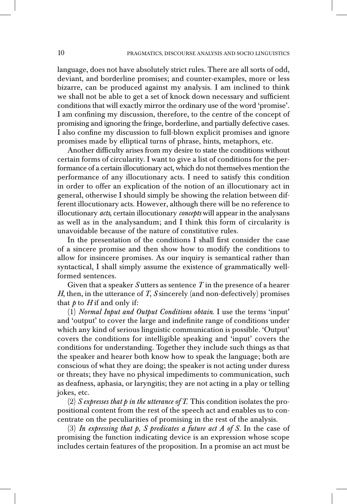language, does not have absolutely strict rules. There are all sorts of odd, deviant, and borderline promises; and counter-examples, more or less bizarre, can be produced against my analysis. I am inclined to think we shall not be able to get a set of knock down necessary and sufficient conditions that will exactly mirror the ordinary use of the word 'promise'. I am confining my discussion, therefore, to the centre of the concept of promising and ignoring the fringe, borderline, and partially defective cases. I also confine my discussion to full-blown explicit promises and ignore promises made by elliptical turns of phrase, hints, metaphors, etc.

Another difficulty arises from my desire to state the conditions without certain forms of circularity. I want to give a list of conditions for the performance of a certain illocutionary act, which do not themselves mention the performance of any illocutionary acts. I need to satisfy this condition in order to offer an explication of the notion of an illocutionary act in general, otherwise I should simply be showing the relation between different illocutionary acts. However, although there will be no reference to illocutionary *acts*, certain illocutionary *concepts* will appear in the analysans as well as in the analysandum; and I think this form of circularity is unavoidable because of the nature of constitutive rules.

In the presentation of the conditions I shall first consider the case of a sincere promise and then show how to modify the conditions to allow for insincere promises. As our inquiry is semantical rather than syntactical, I shall simply assume the existence of grammatically wellformed sentences.

Given that a speaker *S* utters as sentence *T* in the presence of a hearer *H*, then, in the utterance of *T*, *S* sincerely (and non-defectively) promises that  $p$  to  $H$  if and only if:

(1) *Normal Input and Output Conditions obtain*. I use the terms 'input' and 'output' to cover the large and indefinite range of conditions under which any kind of serious linguistic communication is possible. 'Output' covers the conditions for intelligible speaking and 'input' covers the conditions for understanding. Together they include such things as that the speaker and hearer both know how to speak the language; both are conscious of what they are doing; the speaker is not acting under duress or threats; they have no physical impediments to communication, such as deafness, aphasia, or laryngitis; they are not acting in a play or telling jokes, etc.

(2) *S expresses that p in the utterance of T.* This condition isolates the propositional content from the rest of the speech act and enables us to concentrate on the peculiarities of promising in the rest of the analysis.

(3) *In expressing that p, S predicates a future act A of S.* In the case of promising the function indicating device is an expression whose scope includes certain features of the proposition. In a promise an act must be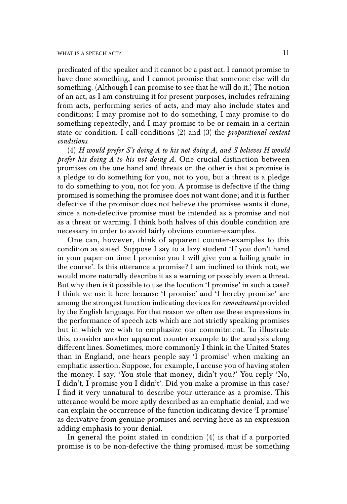predicated of the speaker and it cannot be a past act. I cannot promise to have done something, and I cannot promise that someone else will do something. (Although I can promise to see that he will do it.) The notion of an act, as I am construing it for present purposes, includes refraining from acts, performing series of acts, and may also include states and conditions: I may promise not to do something, I may promise to do something repeatedly, and I may promise to be or remain in a certain state or condition. I call conditions (2) and (3) the *propositional content conditions*.

(4) *H would prefer S's doing A to his not doing A, and S believes H would prefer his doing A to his not doing A.* One crucial distinction between promises on the one hand and threats on the other is that a promise is a pledge to do something for you, not to you, but a threat is a pledge to do something to you, not for you. A promise is defective if the thing promised is something the promisee does not want done; and it is further defective if the promisor does not believe the promisee wants it done, since a non-defective promise must be intended as a promise and not as a threat or warning. I think both halves of this double condition are necessary in order to avoid fairly obvious counter-examples.

One can, however, think of apparent counter-examples to this condition as stated. Suppose I say to a lazy student 'If you don't hand in your paper on time I promise you I will give you a failing grade in the course'. Is this utterance a promise? I am inclined to think not; we would more naturally describe it as a warning or possibly even a threat. But why then is it possible to use the locution 'I promise' in such a case? I think we use it here because 'I promise' and 'I hereby promise' are among the strongest function indicating devices for *commitment* provided by the English language. For that reason we often use these expressions in the performance of speech acts which are not strictly speaking promises but in which we wish to emphasize our commitment. To illustrate this, consider another apparent counter-example to the analysis along different lines. Sometimes, more commonly I think in the United States than in England, one hears people say 'I promise' when making an emphatic assertion. Suppose, for example, I accuse you of having stolen the money. I say, 'You stole that money, didn't you?' You reply 'No, I didn't, I promise you I didn't'. Did you make a promise in this case? I find it very unnatural to describe your utterance as a promise. This utterance would be more aptly described as an emphatic denial, and we can explain the occurrence of the function indicating device 'I promise' as derivative from genuine promises and serving here as an expression adding emphasis to your denial.

In general the point stated in condition (4) is that if a purported promise is to be non-defective the thing promised must be something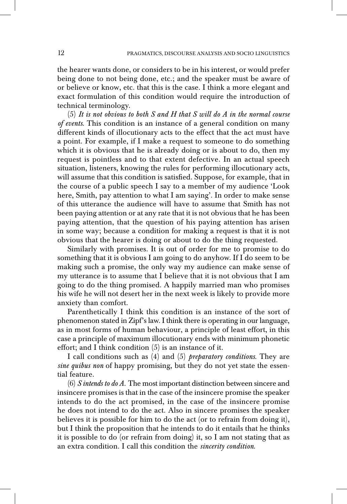the hearer wants done, or considers to be in his interest, or would prefer being done to not being done, etc.; and the speaker must be aware of or believe or know, etc. that this is the case. I think a more elegant and exact formulation of this condition would require the introduction of technical terminology.

(5) *It is not obvious to both S and H that S will do A in the normal course of events*. This condition is an instance of a general condition on many different kinds of illocutionary acts to the effect that the act must have a point. For example, if I make a request to someone to do something which it is obvious that he is already doing or is about to do, then my request is pointless and to that extent defective. In an actual speech situation, listeners, knowing the rules for performing illocutionary acts, will assume that this condition is satisfied. Suppose, for example, that in the course of a public speech I say to a member of my audience 'Look here, Smith, pay attention to what I am saying'. In order to make sense of this utterance the audience will have to assume that Smith has not been paying attention or at any rate that it is not obvious that he has been paying attention, that the question of his paying attention has arisen in some way; because a condition for making a request is that it is not obvious that the hearer is doing or about to do the thing requested.

Similarly with promises. It is out of order for me to promise to do something that it is obvious I am going to do anyhow. If I do seem to be making such a promise, the only way my audience can make sense of my utterance is to assume that I believe that it is not obvious that I am going to do the thing promised. A happily married man who promises his wife he will not desert her in the next week is likely to provide more anxiety than comfort.

Parenthetically I think this condition is an instance of the sort of phenomenon stated in Zipf's law. I think there is operating in our language, as in most forms of human behaviour, a principle of least effort, in this case a principle of maximum illocutionary ends with minimum phonetic effort; and I think condition (5) is an instance of it.

I call conditions such as (4) and (5) *preparatory conditions*. They are *sine quibus non* of happy promising, but they do not yet state the essential feature.

(6) *S intends to do A.* The most important distinction between sincere and insincere promises is that in the case of the insincere promise the speaker intends to do the act promised, in the case of the insincere promise he does not intend to do the act. Also in sincere promises the speaker believes it is possible for him to do the act (or to refrain from doing it), but I think the proposition that he intends to do it entails that he thinks it is possible to do (or refrain from doing) it, so I am not stating that as an extra condition. I call this condition the *sincerity condition*.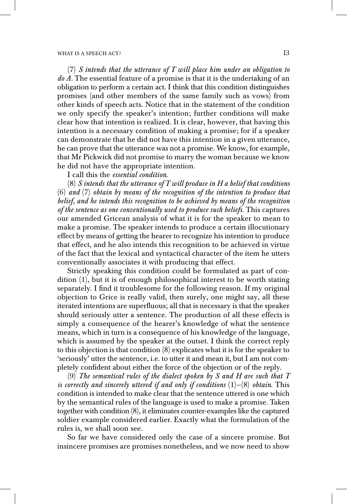(7) *S intends that the utterance of T will place him under an obligation to do A.* The essential feature of a promise is that it is the undertaking of an obligation to perform a certain act. I think that this condition distinguishes promises (and other members of the same family such as vows) from other kinds of speech acts. Notice that in the statement of the condition we only specify the speaker's intention; further conditions will make clear how that intention is realized. It is clear, however, that having this intention is a necessary condition of making a promise; for if a speaker can demonstrate that he did not have this intention in a given utterance, he can prove that the utterance was not a promise. We know, for example, that Mr Pickwick did not promise to marry the woman because we know he did not have the appropriate intention.

I call this the *essential condition*.

(8) *S intends that the utterance of T will produce in H a belief that conditions*  (6) *and* (7) *obtain by means of the recognition of the intention to produce that belief, and he intends this recognition to be achieved by means of the recognition of the sentence as one conventionally used to produce such beliefs*. This captures our amended Gricean analysis of what it is for the speaker to mean to make a promise. The speaker intends to produce a certain illocutionary effect by means of getting the hearer to recognize his intention to produce that effect, and he also intends this recognition to be achieved in virtue of the fact that the lexical and syntactical character of the item he utters conventionally associates it with producing that effect.

Strictly speaking this condition could be formulated as part of condition (1), but it is of enough philosophical interest to be worth stating separately. I find it troublesome for the following reason. If my original objection to Grice is really valid, then surely, one might say, all these iterated intentions are superfluous; all that is necessary is that the speaker should seriously utter a sentence. The production of all these effects is simply a consequence of the hearer's knowledge of what the sentence means, which in turn is a consequence of his knowledge of the language, which is assumed by the speaker at the outset. I think the correct reply to this objection is that condition (8) explicates what it is for the speaker to 'seriously' utter the sentence, i.e. to utter it and mean it, but I am not completely confident about either the force of the objection or of the reply.

(9) *The semantical rules of the dialect spoken by S and H are such that T is correctly and sincerely uttered if and only if conditions* (1)—(8) *obtain*. This condition is intended to make clear that the sentence uttered is one which by the semantical rules of the language is used to make a promise. Taken together with condition (8), it eliminates counter-examples like the captured soldier example considered earlier. Exactly what the formulation of the rules is, we shall soon see.

So far we have considered only the case of a sincere promise. But insincere promises are promises nonetheless, and we now need to show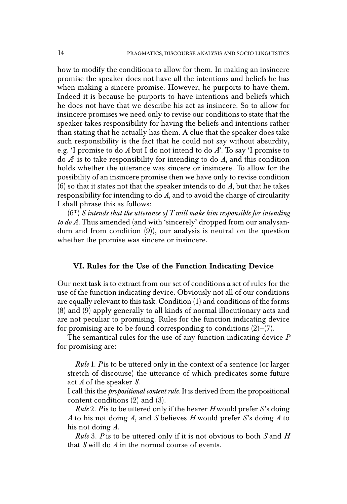how to modify the conditions to allow for them. In making an insincere promise the speaker does not have all the intentions and beliefs he has when making a sincere promise. However, he purports to have them. Indeed it is because he purports to have intentions and beliefs which he does not have that we describe his act as insincere. So to allow for insincere promises we need only to revise our conditions to state that the speaker takes responsibility for having the beliefs and intentions rather than stating that he actually has them. A clue that the speaker does take such responsibility is the fact that he could not say without absurdity, e.g. 'I promise to do *A* but I do not intend to do *A*'. To say 'I promise to do *A*' is to take responsibility for intending to do *A*, and this condition holds whether the utterance was sincere or insincere. To allow for the possibility of an insincere promise then we have only to revise condition (6) so that it states not that the speaker intends to do *A*, but that he takes responsibility for intending to do *A*, and to avoid the charge of circularity I shall phrase this as follows:

(6∗) *S intends that the utterance of T will make him responsible for intending to do A.* Thus amended (and with 'sincerely' dropped from our analysandum and from condition (9)), our analysis is neutral on the question whether the promise was sincere or insincere.

## **VI. Rules for the Use of the Function Indicating Device**

Our next task is to extract from our set of conditions a set of rules for the use of the function indicating device. Obviously not all of our conditions are equally relevant to this task. Condition (1) and conditions of the forms (8) and (9) apply generally to all kinds of normal illocutionary acts and are not peculiar to promising. Rules for the function indicating device for promising are to be found corresponding to conditions  $(2)$ – $(7)$ .

The semantical rules for the use of any function indicating device *P* for promising are:

 *Rule* 1. *P* is to be uttered only in the context of a sentence (or larger stretch of discourse) the utterance of which predicates some future act *A* of the speaker *S*.

I call this the *propositional content rule*. It is derived from the propositional content conditions (2) and (3).

 *Rule* 2. *P* is to be uttered only if the hearer *H* would prefer *S* 's doing *A* to his not doing *A*, and *S* believes *H* would prefer *S*'s doing *A* to his not doing *A*.

 *Rule* 3. *P* is to be uttered only if it is not obvious to both *S* and *H* that *S* will do *A* in the normal course of events.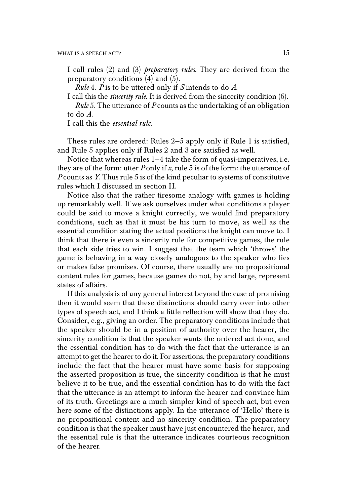I call rules (2) and (3) *preparatory rules*. They are derived from the preparatory conditions (4) and (5).

 *Rule* 4. *P* is to be uttered only if *S* intends to do *A*.

I call this the *sincerity rule*. It is derived from the sincerity condition (6).

 *Rule* 5. The utterance of *P* counts as the undertaking of an obligation to do *A*.

I call this the *essential rule*.

These rules are ordered: Rules  $2-5$  apply only if Rule 1 is satisfied, and Rule 5 applies only if Rules 2 and 3 are satisfied as well.

Notice that whereas rules 1—4 take the form of quasi-imperatives, i.e. they are of the form: utter *P* only if *x*, rule 5 is of the form: the utterance of *P* counts as *Y*. Thus rule 5 is of the kind peculiar to systems of constitutive rules which I discussed in section II.

Notice also that the rather tiresome analogy with games is holding up remarkably well. If we ask ourselves under what conditions a player could be said to move a knight correctly, we would find preparatory conditions, such as that it must be his turn to move, as well as the essential condition stating the actual positions the knight can move to. I think that there is even a sincerity rule for competitive games, the rule that each side tries to win. I suggest that the team which 'throws' the game is behaving in a way closely analogous to the speaker who lies or makes false promises. Of course, there usually are no propositional content rules for games, because games do not, by and large, represent states of affairs.

If this analysis is of any general interest beyond the case of promising then it would seem that these distinctions should carry over into other types of speech act, and I think a little reflection will show that they do. Consider, e.g., giving an order. The preparatory conditions include that the speaker should be in a position of authority over the hearer, the sincerity condition is that the speaker wants the ordered act done, and the essential condition has to do with the fact that the utterance is an attempt to get the hearer to do it. For assertions, the preparatory conditions include the fact that the hearer must have some basis for supposing the asserted proposition is true, the sincerity condition is that he must believe it to be true, and the essential condition has to do with the fact that the utterance is an attempt to inform the hearer and convince him of its truth. Greetings are a much simpler kind of speech act, but even here some of the distinctions apply. In the utterance of 'Hello' there is no propositional content and no sincerity condition. The preparatory condition is that the speaker must have just encountered the hearer, and the essential rule is that the utterance indicates courteous recognition of the hearer.